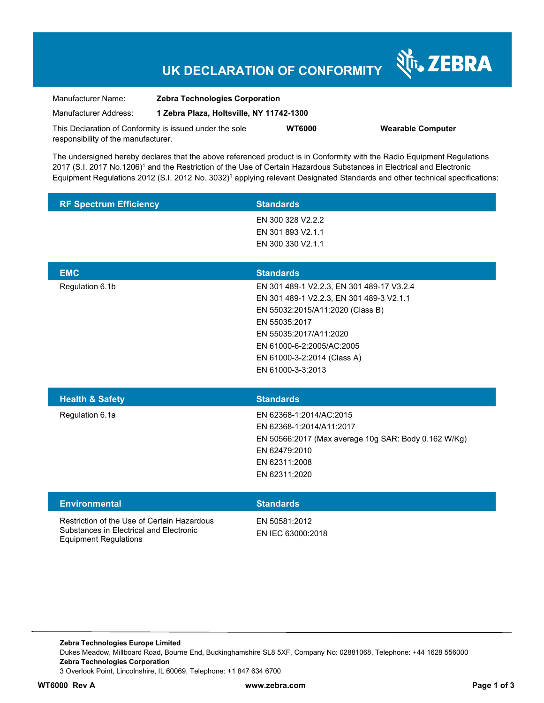## **UK DECLARATION OF CONFORMITY**

Nr. ZEBRA

| Manufacturer Name:                                      | <b>Zebra Technologies Corporation</b>    |               |                          |  |
|---------------------------------------------------------|------------------------------------------|---------------|--------------------------|--|
| Manufacturer Address:                                   | 1 Zebra Plaza, Holtsville, NY 11742-1300 |               |                          |  |
| This Declaration of Conformity is issued under the sole |                                          | <b>WT6000</b> | <b>Wearable Computer</b> |  |
| responsibility of the manufacturer.                     |                                          |               |                          |  |

The undersigned hereby declares that the above referenced product is in Conformity with the Radio Equipment Regulations 2017 (S.I. 2017 No.1206)<sup>1</sup> and the Restriction of the Use of Certain Hazardous Substances in Electrical and Electronic Equipment Regulations 2012 (S.I. 2012 No. 3032)<sup>1</sup> applying relevant Designated Standards and other technical specifications:

| <b>RF Spectrum Efficiency</b> | <b>Standards</b>                          |
|-------------------------------|-------------------------------------------|
|                               | EN 300 328 V2.2.2                         |
|                               | EN 301 893 V2.1.1                         |
|                               | EN 300 330 V2.1.1                         |
|                               |                                           |
| <b>EMC</b>                    | <b>Standards</b>                          |
| Regulation 6.1b               | EN 301 489-1 V2.2.3, EN 301 489-17 V3.2.4 |
|                               | EN 301 489-1 V2.2.3, EN 301 489-3 V2.1.1  |
|                               | EN 55032:2015/A11:2020 (Class B)          |
|                               | EN 55035:2017                             |
|                               | EN 55035:2017/A11:2020                    |
|                               | EN 61000-6-2:2005/AC:2005                 |
|                               | EN 61000-3-2:2014 (Class A)               |
|                               | EN 61000-3-3:2013                         |
|                               |                                           |
| <b>Health &amp; Safety</b>    | <b>Standards</b>                          |
| Regulation 6.1a               | EN 62368-1:2014/AC:2015                   |

|                                                                                        | EN 50566:2017 (Max average 10g SAR: Body 0.162 W/Kg)<br>EN 62479:2010<br>EN 62311:2008<br>EN 62311:2020 |
|----------------------------------------------------------------------------------------|---------------------------------------------------------------------------------------------------------|
| <b>Environmental</b>                                                                   | <b>Standards</b>                                                                                        |
| Restriction of the Use of Certain Hazardous<br>Substances in Electrical and Electronic | EN 50581:2012<br>EN IEC 63000:2018                                                                      |

EN 62368-1:2014/A11:2017

**Zebra Technologies Europe Limited**  Dukes Meadow, Millboard Road, Bourne End, Buckinghamshire SL8 5XF, Company No: 02881068, Telephone: +44 1628 556000 **Zebra Technologies Corporation**  3 Overlook Point, Lincolnshire, IL 60069, Telephone: +1 847 634 6700

Equipment Regulations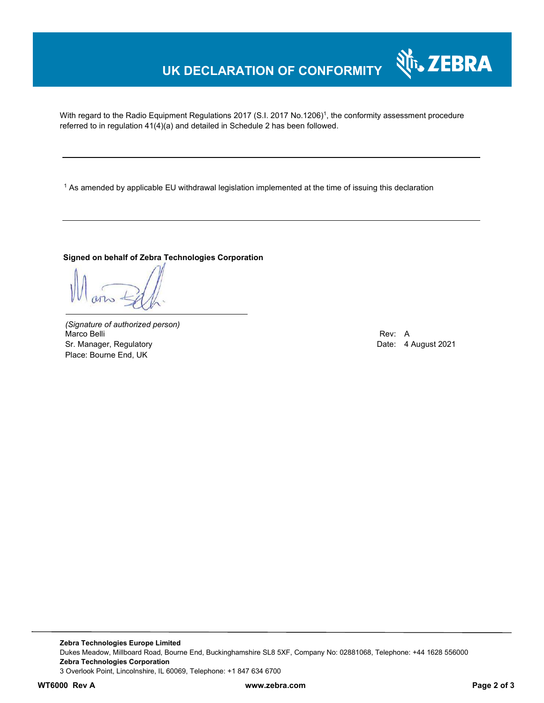# **UK DECLARATION OF CONFORMITY**

With regard to the Radio Equipment Regulations 2017 (S.I. 2017 No.1206)<sup>1</sup>, the conformity assessment procedure referred to in regulation 41(4)(a) and detailed in Schedule 2 has been followed.

 $^{\rm 1}$  As amended by applicable EU withdrawal legislation implemented at the time of issuing this declaration

#### **Signed on behalf of Zebra Technologies Corporation**

*(Signature of authorized person)* Marco Belli Rev: A Sr. Manager, Regulatory **Date: 4 August 2021** Place: Bourne End, UK

र्शे<sub>ि</sub>, ZEBRA

**Zebra Technologies Europe Limited**  Dukes Meadow, Millboard Road, Bourne End, Buckinghamshire SL8 5XF, Company No: 02881068, Telephone: +44 1628 556000 **Zebra Technologies Corporation**  3 Overlook Point, Lincolnshire, IL 60069, Telephone: +1 847 634 6700